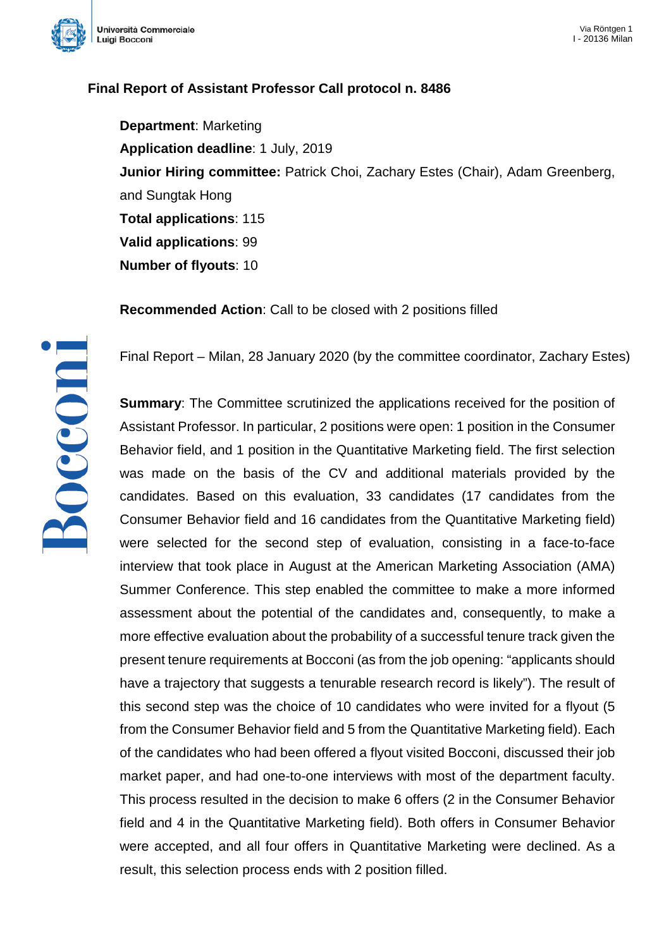

## **Final Report of Assistant Professor Call protocol n. 8486**

**Department**: Marketing **Application deadline**: 1 July, 2019 **Junior Hiring committee:** Patrick Choi, Zachary Estes (Chair), Adam Greenberg, and Sungtak Hong **Total applications**: 115 **Valid applications**: 99 **Number of flyouts**: 10

**Recommended Action**: Call to be closed with 2 positions filled

Final Report – Milan, 28 January 2020 (by the committee coordinator, Zachary Estes)

**Summary**: The Committee scrutinized the applications received for the position of Assistant Professor. In particular, 2 positions were open: 1 position in the Consumer Behavior field, and 1 position in the Quantitative Marketing field. The first selection was made on the basis of the CV and additional materials provided by the candidates. Based on this evaluation, 33 candidates (17 candidates from the Consumer Behavior field and 16 candidates from the Quantitative Marketing field) were selected for the second step of evaluation, consisting in a face-to-face interview that took place in August at the American Marketing Association (AMA) Summer Conference. This step enabled the committee to make a more informed assessment about the potential of the candidates and, consequently, to make a more effective evaluation about the probability of a successful tenure track given the present tenure requirements at Bocconi (as from the job opening: "applicants should have a trajectory that suggests a tenurable research record is likely"). The result of this second step was the choice of 10 candidates who were invited for a flyout (5 from the Consumer Behavior field and 5 from the Quantitative Marketing field). Each of the candidates who had been offered a flyout visited Bocconi, discussed their job market paper, and had one-to-one interviews with most of the department faculty. This process resulted in the decision to make 6 offers (2 in the Consumer Behavior field and 4 in the Quantitative Marketing field). Both offers in Consumer Behavior were accepted, and all four offers in Quantitative Marketing were declined. As a result, this selection process ends with 2 position filled.